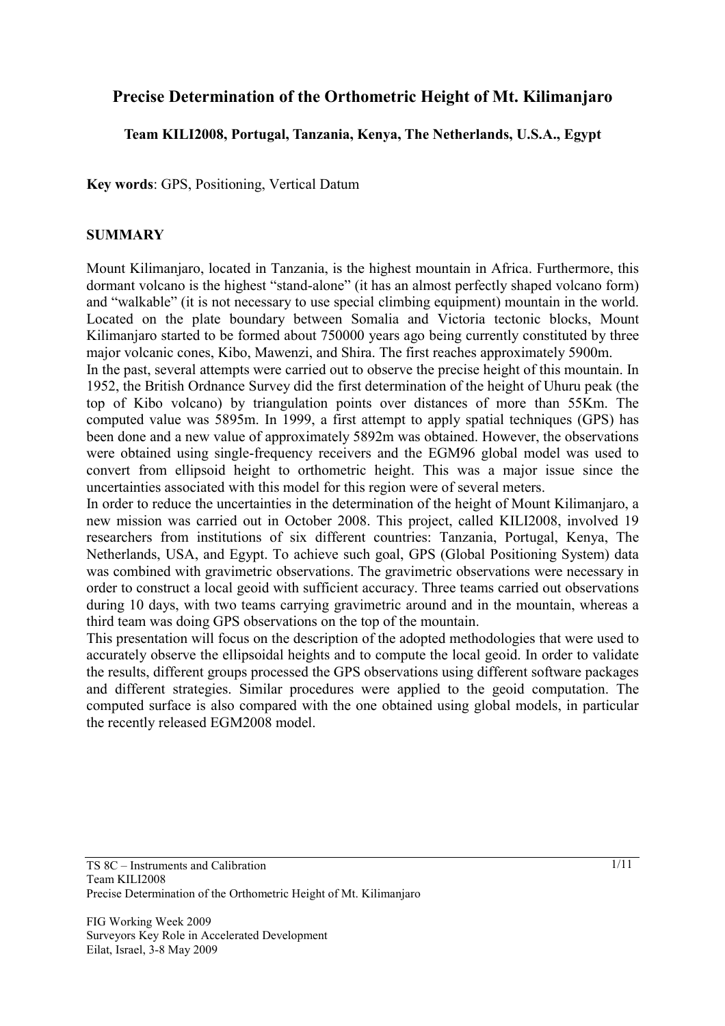# **Precise Determination of the Orthometric Height of Mt. Kilimanjaro**

## **Team KILI2008, Portugal, Tanzania, Kenya, The Netherlands, U.S.A., Egypt**

**Key words**: GPS, Positioning, Vertical Datum

## **SUMMARY**

Mount Kilimanjaro, located in Tanzania, is the highest mountain in Africa. Furthermore, this dormant volcano is the highest "stand-alone" (it has an almost perfectly shaped volcano form) and "walkable" (it is not necessary to use special climbing equipment) mountain in the world. Located on the plate boundary between Somalia and Victoria tectonic blocks, Mount Kilimanjaro started to be formed about 750000 years ago being currently constituted by three major volcanic cones, Kibo, Mawenzi, and Shira. The first reaches approximately 5900m.

In the past, several attempts were carried out to observe the precise height of this mountain. In 1952, the British Ordnance Survey did the first determination of the height of Uhuru peak (the top of Kibo volcano) by triangulation points over distances of more than 55Km. The computed value was 5895m. In 1999, a first attempt to apply spatial techniques (GPS) has been done and a new value of approximately 5892m was obtained. However, the observations were obtained using single-frequency receivers and the EGM96 global model was used to convert from ellipsoid height to orthometric height. This was a major issue since the uncertainties associated with this model for this region were of several meters.

In order to reduce the uncertainties in the determination of the height of Mount Kilimanjaro, a new mission was carried out in October 2008. This project, called KILI2008, involved 19 researchers from institutions of six different countries: Tanzania, Portugal, Kenya, The Netherlands, USA, and Egypt. To achieve such goal, GPS (Global Positioning System) data was combined with gravimetric observations. The gravimetric observations were necessary in order to construct a local geoid with sufficient accuracy. Three teams carried out observations during 10 days, with two teams carrying gravimetric around and in the mountain, whereas a third team was doing GPS observations on the top of the mountain.

This presentation will focus on the description of the adopted methodologies that were used to accurately observe the ellipsoidal heights and to compute the local geoid. In order to validate the results, different groups processed the GPS observations using different software packages and different strategies. Similar procedures were applied to the geoid computation. The computed surface is also compared with the one obtained using global models, in particular the recently released EGM2008 model.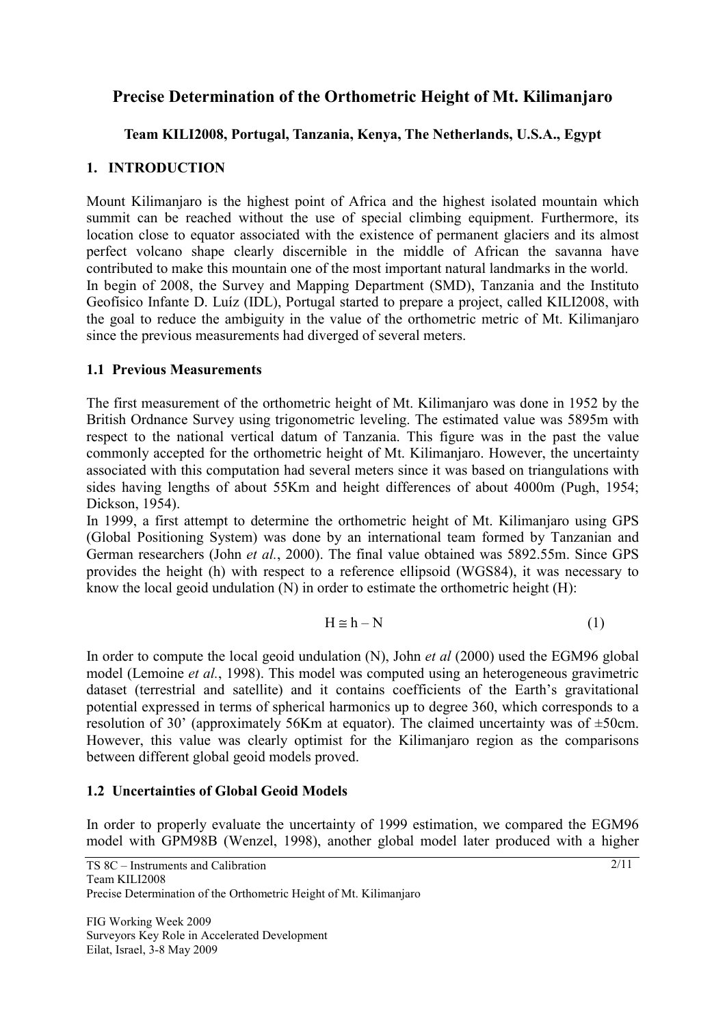# **Precise Determination of the Orthometric Height of Mt. Kilimanjaro**

# **Team KILI2008, Portugal, Tanzania, Kenya, The Netherlands, U.S.A., Egypt**

# **1. INTRODUCTION**

Mount Kilimanjaro is the highest point of Africa and the highest isolated mountain which summit can be reached without the use of special climbing equipment. Furthermore, its location close to equator associated with the existence of permanent glaciers and its almost perfect volcano shape clearly discernible in the middle of African the savanna have contributed to make this mountain one of the most important natural landmarks in the world. In begin of 2008, the Survey and Mapping Department (SMD), Tanzania and the Instituto Geofísico Infante D. Luíz (IDL), Portugal started to prepare a project, called KILI2008, with the goal to reduce the ambiguity in the value of the orthometric metric of Mt. Kilimanjaro since the previous measurements had diverged of several meters.

## **1.1 Previous Measurements**

The first measurement of the orthometric height of Mt. Kilimanjaro was done in 1952 by the British Ordnance Survey using trigonometric leveling. The estimated value was 5895m with respect to the national vertical datum of Tanzania. This figure was in the past the value commonly accepted for the orthometric height of Mt. Kilimanjaro. However, the uncertainty associated with this computation had several meters since it was based on triangulations with sides having lengths of about 55Km and height differences of about 4000m (Pugh, 1954; Dickson, 1954).

In 1999, a first attempt to determine the orthometric height of Mt. Kilimanjaro using GPS (Global Positioning System) was done by an international team formed by Tanzanian and German researchers (John *et al.*, 2000). The final value obtained was 5892.55m. Since GPS provides the height (h) with respect to a reference ellipsoid (WGS84), it was necessary to know the local geoid undulation  $(N)$  in order to estimate the orthometric height  $(H)$ :

$$
H \cong h - N \tag{1}
$$

In order to compute the local geoid undulation (N), John *et al* (2000) used the EGM96 global model (Lemoine *et al.*, 1998). This model was computed using an heterogeneous gravimetric dataset (terrestrial and satellite) and it contains coefficients of the Earth's gravitational potential expressed in terms of spherical harmonics up to degree 360, which corresponds to a resolution of 30' (approximately 56Km at equator). The claimed uncertainty was of ±50cm. However, this value was clearly optimist for the Kilimanjaro region as the comparisons between different global geoid models proved.

# **1.2 Uncertainties of Global Geoid Models**

In order to properly evaluate the uncertainty of 1999 estimation, we compared the EGM96 model with GPM98B (Wenzel, 1998), another global model later produced with a higher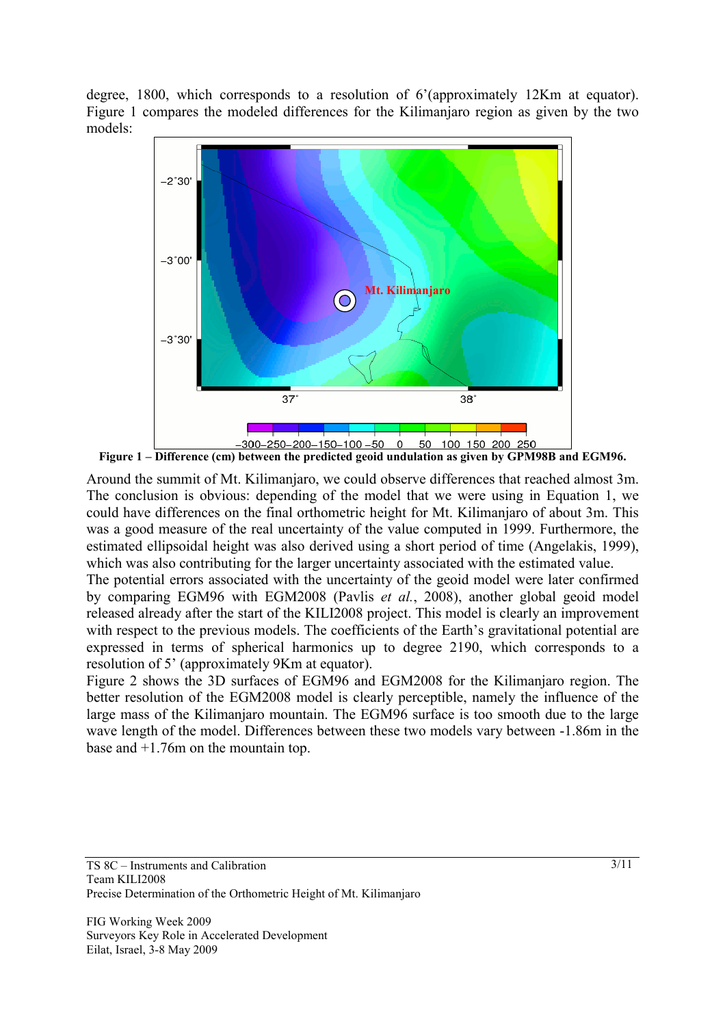degree, 1800, which corresponds to a resolution of 6'(approximately 12Km at equator). Figure 1 compares the modeled differences for the Kilimanjaro region as given by the two models:



**Figure 1 – Difference (cm) between the predicted geoid undulation as given by GPM98B and EGM96.** 

Around the summit of Mt. Kilimanjaro, we could observe differences that reached almost 3m. The conclusion is obvious: depending of the model that we were using in Equation 1, we could have differences on the final orthometric height for Mt. Kilimanjaro of about 3m. This was a good measure of the real uncertainty of the value computed in 1999. Furthermore, the estimated ellipsoidal height was also derived using a short period of time (Angelakis, 1999), which was also contributing for the larger uncertainty associated with the estimated value.

The potential errors associated with the uncertainty of the geoid model were later confirmed by comparing EGM96 with EGM2008 (Pavlis *et al.*, 2008), another global geoid model released already after the start of the KILI2008 project. This model is clearly an improvement with respect to the previous models. The coefficients of the Earth's gravitational potential are expressed in terms of spherical harmonics up to degree 2190, which corresponds to a resolution of 5' (approximately 9Km at equator).

Figure 2 shows the 3D surfaces of EGM96 and EGM2008 for the Kilimanjaro region. The better resolution of the EGM2008 model is clearly perceptible, namely the influence of the large mass of the Kilimanjaro mountain. The EGM96 surface is too smooth due to the large wave length of the model. Differences between these two models vary between -1.86m in the base and +1.76m on the mountain top.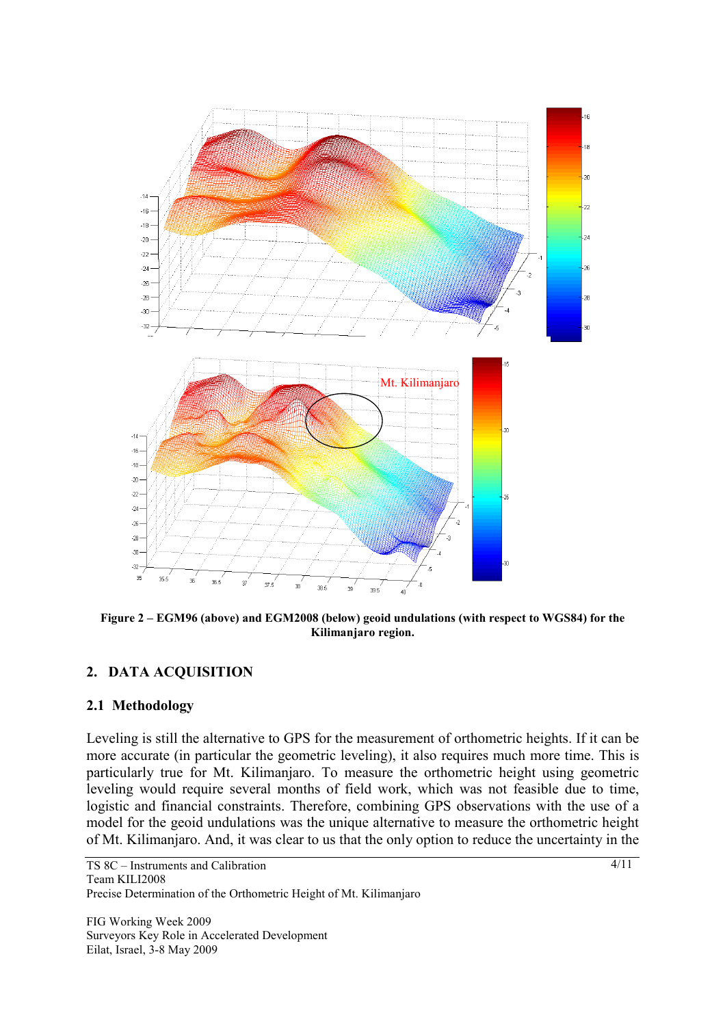

**Figure 2 – EGM96 (above) and EGM2008 (below) geoid undulations (with respect to WGS84) for the Kilimanjaro region.** 

## **2. DATA ACQUISITION**

#### **2.1 Methodology**

Leveling is still the alternative to GPS for the measurement of orthometric heights. If it can be more accurate (in particular the geometric leveling), it also requires much more time. This is particularly true for Mt. Kilimanjaro. To measure the orthometric height using geometric leveling would require several months of field work, which was not feasible due to time, logistic and financial constraints. Therefore, combining GPS observations with the use of a model for the geoid undulations was the unique alternative to measure the orthometric height of Mt. Kilimanjaro. And, it was clear to us that the only option to reduce the uncertainty in the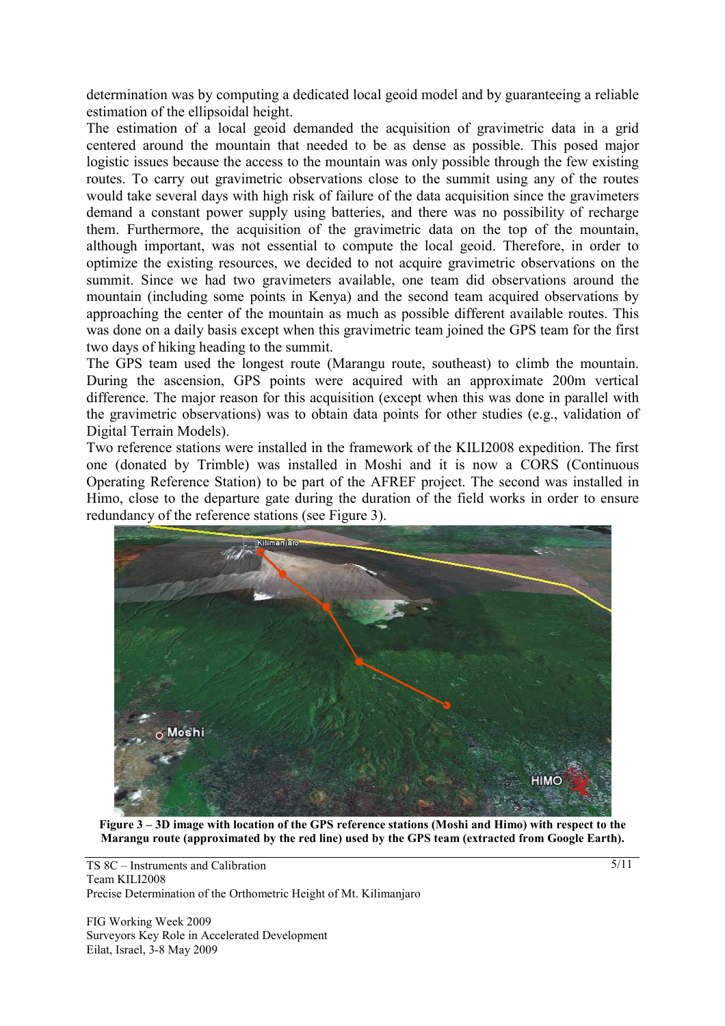determination was by computing a dedicated local geoid model and by guaranteeing a reliable estimation of the ellipsoidal height.

The estimation of a local geoid demanded the acquisition of gravimetric data in a grid centered around the mountain that needed to be as dense as possible. This posed major logistic issues because the access to the mountain was only possible through the few existing routes. To carry out gravimetric observations close to the summit using any of the routes would take several days with high risk of failure of the data acquisition since the gravimeters demand a constant power supply using batteries, and there was no possibility of recharge them. Furthermore, the acquisition of the gravimetric data on the top of the mountain, although important, was not essential to compute the local geoid. Therefore, in order to optimize the existing resources, we decided to not acquire gravimetric observations on the summit. Since we had two gravimeters available, one team did observations around the mountain (including some points in Kenya) and the second team acquired observations by approaching the center of the mountain as much as possible different available routes. This was done on a daily basis except when this gravimetric team joined the GPS team for the first two days of hiking heading to the summit.

The GPS team used the longest route (Marangu route, southeast) to climb the mountain. During the ascension, GPS points were acquired with an approximate 200m vertical difference. The major reason for this acquisition (except when this was done in parallel with the gravimetric observations) was to obtain data points for other studies (e.g., validation of Digital Terrain Models).

Two reference stations were installed in the framework of the KILI2008 expedition. The first one (donated by Trimble) was installed in Moshi and it is now a CORS (Continuous Operating Reference Station) to be part of the AFREF project. The second was installed in Himo, close to the departure gate during the duration of the field works in order to ensure redundancy of the reference stations (see Figure 3).



**Figure 3 – 3D image with location of the GPS reference stations (Moshi and Himo) with respect to the Marangu route (approximated by the red line) used by the GPS team (extracted from Google Earth).** 

TS 8C – Instruments and Calibration Team KILI2008 Precise Determination of the Orthometric Height of Mt. Kilimanjaro

FIG Working Week 2009 Surveyors Key Role in Accelerated Development Eilat, Israel, 3-8 May 2009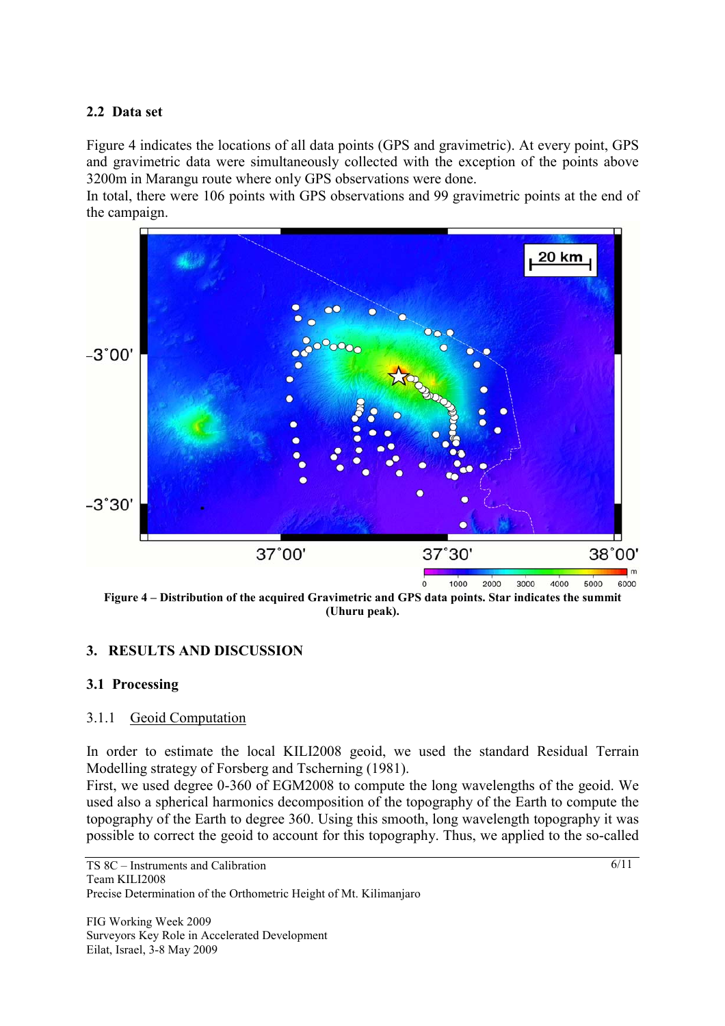## **2.2 Data set**

Figure 4 indicates the locations of all data points (GPS and gravimetric). At every point, GPS and gravimetric data were simultaneously collected with the exception of the points above 3200m in Marangu route where only GPS observations were done.

In total, there were 106 points with GPS observations and 99 gravimetric points at the end of the campaign.



**Figure 4 – Distribution of the acquired Gravimetric and GPS data points. Star indicates the summit (Uhuru peak).** 

# **3. RESULTS AND DISCUSSION**

## **3.1 Processing**

## 3.1.1 Geoid Computation

In order to estimate the local KILI2008 geoid, we used the standard Residual Terrain Modelling strategy of Forsberg and Tscherning (1981).

First, we used degree 0-360 of EGM2008 to compute the long wavelengths of the geoid. We used also a spherical harmonics decomposition of the topography of the Earth to compute the topography of the Earth to degree 360. Using this smooth, long wavelength topography it was possible to correct the geoid to account for this topography. Thus, we applied to the so-called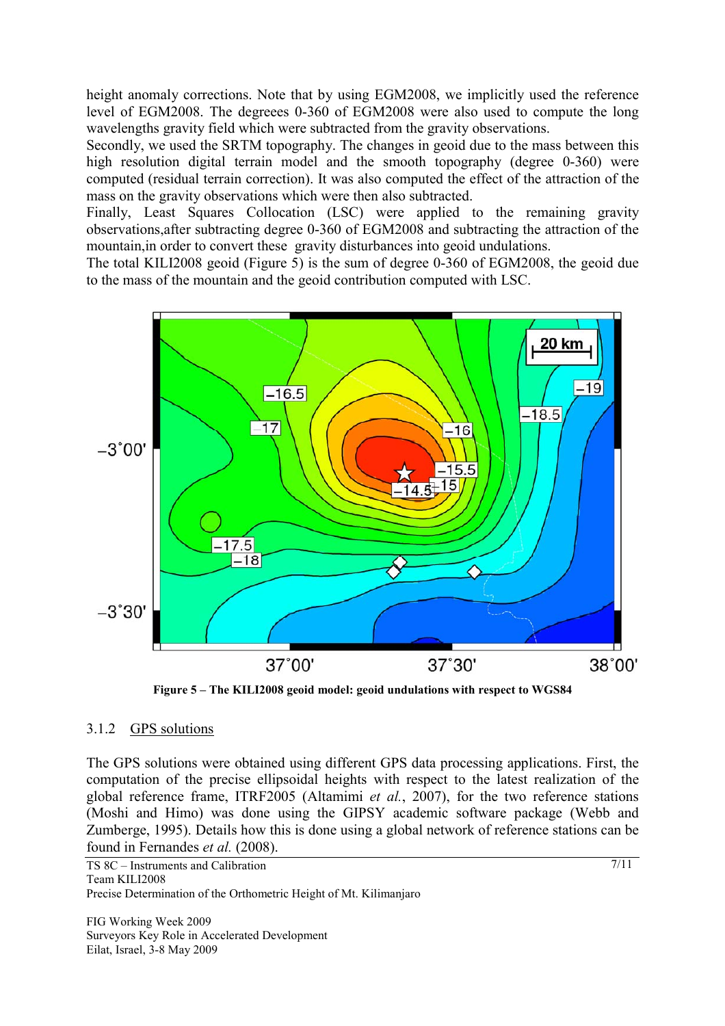height anomaly corrections. Note that by using EGM2008, we implicitly used the reference level of EGM2008. The degreees 0-360 of EGM2008 were also used to compute the long wavelengths gravity field which were subtracted from the gravity observations.

Secondly, we used the SRTM topography. The changes in geoid due to the mass between this high resolution digital terrain model and the smooth topography (degree 0-360) were computed (residual terrain correction). It was also computed the effect of the attraction of the mass on the gravity observations which were then also subtracted.

Finally, Least Squares Collocation (LSC) were applied to the remaining gravity observations,after subtracting degree 0-360 of EGM2008 and subtracting the attraction of the mountain,in order to convert these gravity disturbances into geoid undulations.

The total KILI2008 geoid (Figure 5) is the sum of degree 0-360 of EGM2008, the geoid due to the mass of the mountain and the geoid contribution computed with LSC.



**Figure 5 – The KILI2008 geoid model: geoid undulations with respect to WGS84** 

## 3.1.2 GPS solutions

The GPS solutions were obtained using different GPS data processing applications. First, the computation of the precise ellipsoidal heights with respect to the latest realization of the global reference frame, ITRF2005 (Altamimi *et al.*, 2007), for the two reference stations (Moshi and Himo) was done using the GIPSY academic software package (Webb and Zumberge, 1995). Details how this is done using a global network of reference stations can be found in Fernandes *et al.* (2008).

```
TS 8C – Instruments and Calibration 
Team KILI2008 
Precise Determination of the Orthometric Height of Mt. Kilimanjaro
```
FIG Working Week 2009 Surveyors Key Role in Accelerated Development Eilat, Israel, 3-8 May 2009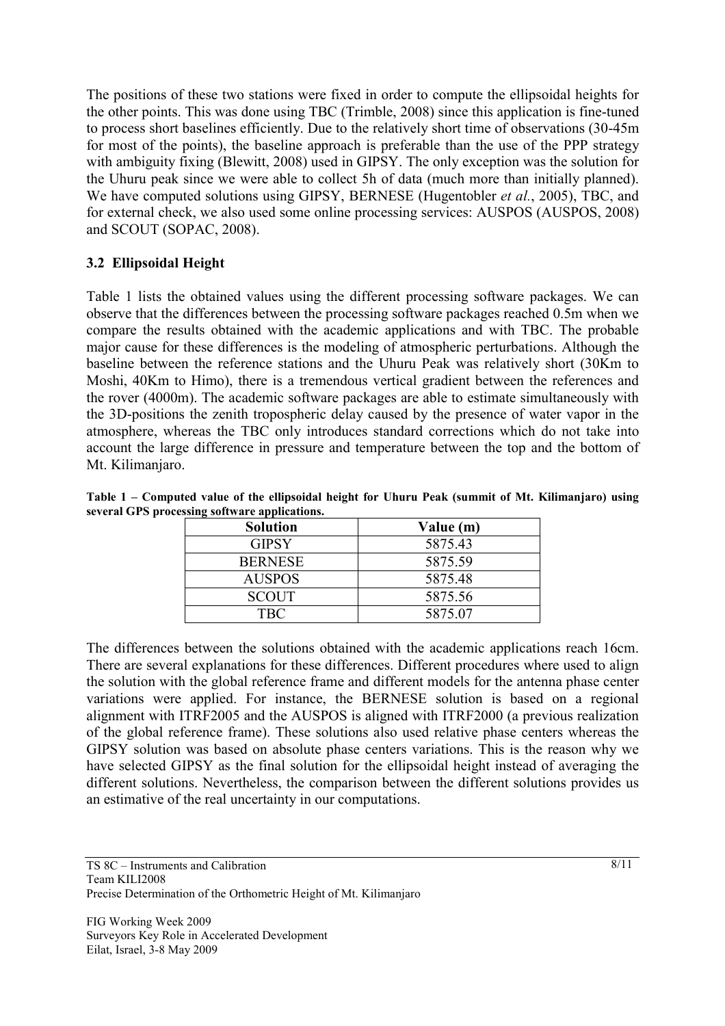The positions of these two stations were fixed in order to compute the ellipsoidal heights for the other points. This was done using TBC (Trimble, 2008) since this application is fine-tuned to process short baselines efficiently. Due to the relatively short time of observations (30-45m for most of the points), the baseline approach is preferable than the use of the PPP strategy with ambiguity fixing (Blewitt, 2008) used in GIPSY. The only exception was the solution for the Uhuru peak since we were able to collect 5h of data (much more than initially planned). We have computed solutions using GIPSY, BERNESE (Hugentobler *et al.*, 2005), TBC, and for external check, we also used some online processing services: AUSPOS (AUSPOS, 2008) and SCOUT (SOPAC, 2008).

# **3.2 Ellipsoidal Height**

Table 1 lists the obtained values using the different processing software packages. We can observe that the differences between the processing software packages reached 0.5m when we compare the results obtained with the academic applications and with TBC. The probable major cause for these differences is the modeling of atmospheric perturbations. Although the baseline between the reference stations and the Uhuru Peak was relatively short (30Km to Moshi, 40Km to Himo), there is a tremendous vertical gradient between the references and the rover (4000m). The academic software packages are able to estimate simultaneously with the 3D-positions the zenith tropospheric delay caused by the presence of water vapor in the atmosphere, whereas the TBC only introduces standard corrections which do not take into account the large difference in pressure and temperature between the top and the bottom of Mt. Kilimanjaro.

|                                               | Table 1 – Computed value of the ellipsoidal height for Uhuru Peak (summit of Mt. Kilimanjaro) using |  |                                              |  |  |  |  |  |
|-----------------------------------------------|-----------------------------------------------------------------------------------------------------|--|----------------------------------------------|--|--|--|--|--|
| several GPS processing software applications. |                                                                                                     |  |                                              |  |  |  |  |  |
|                                               | $\mathbf{C}$ . I $\mathbf{C}$                                                                       |  | $\mathbf{V}$ . $\mathbf{L}$ . $\mathbf{L}$ . |  |  |  |  |  |

| <b>Solution</b> | Value (m) |  |  |
|-----------------|-----------|--|--|
| <b>GIPSY</b>    | 5875.43   |  |  |
| <b>BERNESE</b>  | 5875.59   |  |  |
| <b>AUSPOS</b>   | 5875.48   |  |  |
| <b>SCOUT</b>    | 5875.56   |  |  |
| TBC             | 5875.07   |  |  |

The differences between the solutions obtained with the academic applications reach 16cm. There are several explanations for these differences. Different procedures where used to align the solution with the global reference frame and different models for the antenna phase center variations were applied. For instance, the BERNESE solution is based on a regional alignment with ITRF2005 and the AUSPOS is aligned with ITRF2000 (a previous realization of the global reference frame). These solutions also used relative phase centers whereas the GIPSY solution was based on absolute phase centers variations. This is the reason why we have selected GIPSY as the final solution for the ellipsoidal height instead of averaging the different solutions. Nevertheless, the comparison between the different solutions provides us an estimative of the real uncertainty in our computations.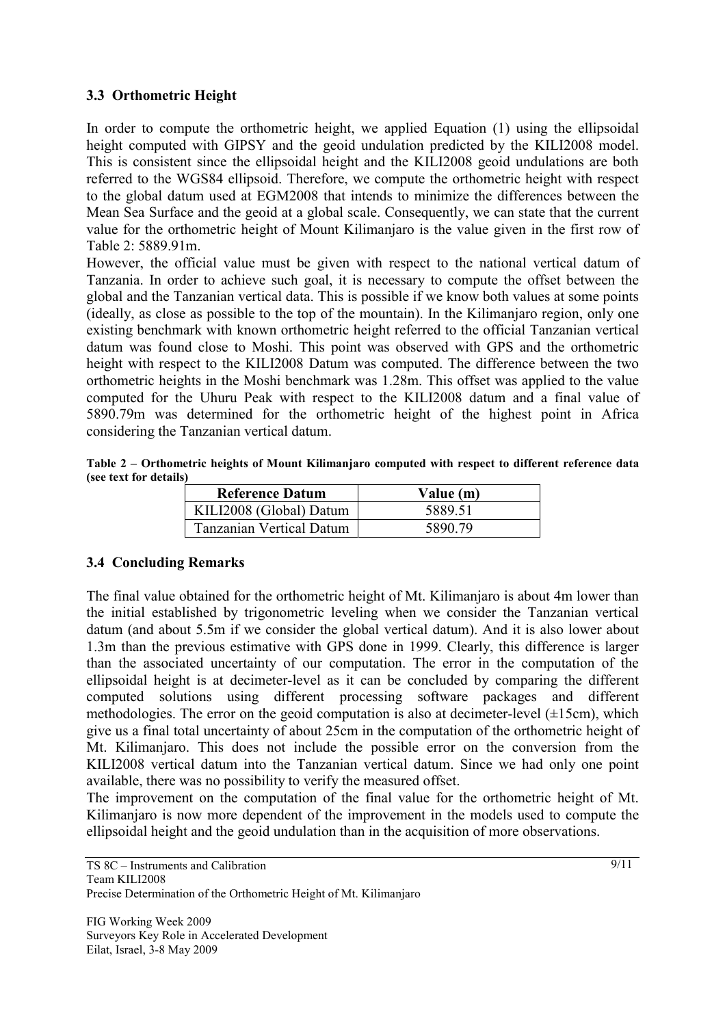## **3.3 Orthometric Height**

In order to compute the orthometric height, we applied Equation (1) using the ellipsoidal height computed with GIPSY and the geoid undulation predicted by the KILI2008 model. This is consistent since the ellipsoidal height and the KILI2008 geoid undulations are both referred to the WGS84 ellipsoid. Therefore, we compute the orthometric height with respect to the global datum used at EGM2008 that intends to minimize the differences between the Mean Sea Surface and the geoid at a global scale. Consequently, we can state that the current value for the orthometric height of Mount Kilimanjaro is the value given in the first row of Table 2: 5889.91m.

However, the official value must be given with respect to the national vertical datum of Tanzania. In order to achieve such goal, it is necessary to compute the offset between the global and the Tanzanian vertical data. This is possible if we know both values at some points (ideally, as close as possible to the top of the mountain). In the Kilimanjaro region, only one existing benchmark with known orthometric height referred to the official Tanzanian vertical datum was found close to Moshi. This point was observed with GPS and the orthometric height with respect to the KILI2008 Datum was computed. The difference between the two orthometric heights in the Moshi benchmark was 1.28m. This offset was applied to the value computed for the Uhuru Peak with respect to the KILI2008 datum and a final value of 5890.79m was determined for the orthometric height of the highest point in Africa considering the Tanzanian vertical datum.

**Table 2 – Orthometric heights of Mount Kilimanjaro computed with respect to different reference data (see text for details)** 

| <b>Reference Datum</b>          | Value (m) |  |  |
|---------------------------------|-----------|--|--|
| KILI2008 (Global) Datum         | 5889.51   |  |  |
| <b>Tanzanian Vertical Datum</b> | 5890.79   |  |  |

# **3.4 Concluding Remarks**

The final value obtained for the orthometric height of Mt. Kilimanjaro is about 4m lower than the initial established by trigonometric leveling when we consider the Tanzanian vertical datum (and about 5.5m if we consider the global vertical datum). And it is also lower about 1.3m than the previous estimative with GPS done in 1999. Clearly, this difference is larger than the associated uncertainty of our computation. The error in the computation of the ellipsoidal height is at decimeter-level as it can be concluded by comparing the different computed solutions using different processing software packages and different methodologies. The error on the geoid computation is also at decimeter-level  $(\pm 15cm)$ , which give us a final total uncertainty of about 25cm in the computation of the orthometric height of Mt. Kilimanjaro. This does not include the possible error on the conversion from the KILI2008 vertical datum into the Tanzanian vertical datum. Since we had only one point available, there was no possibility to verify the measured offset.

The improvement on the computation of the final value for the orthometric height of Mt. Kilimanjaro is now more dependent of the improvement in the models used to compute the ellipsoidal height and the geoid undulation than in the acquisition of more observations.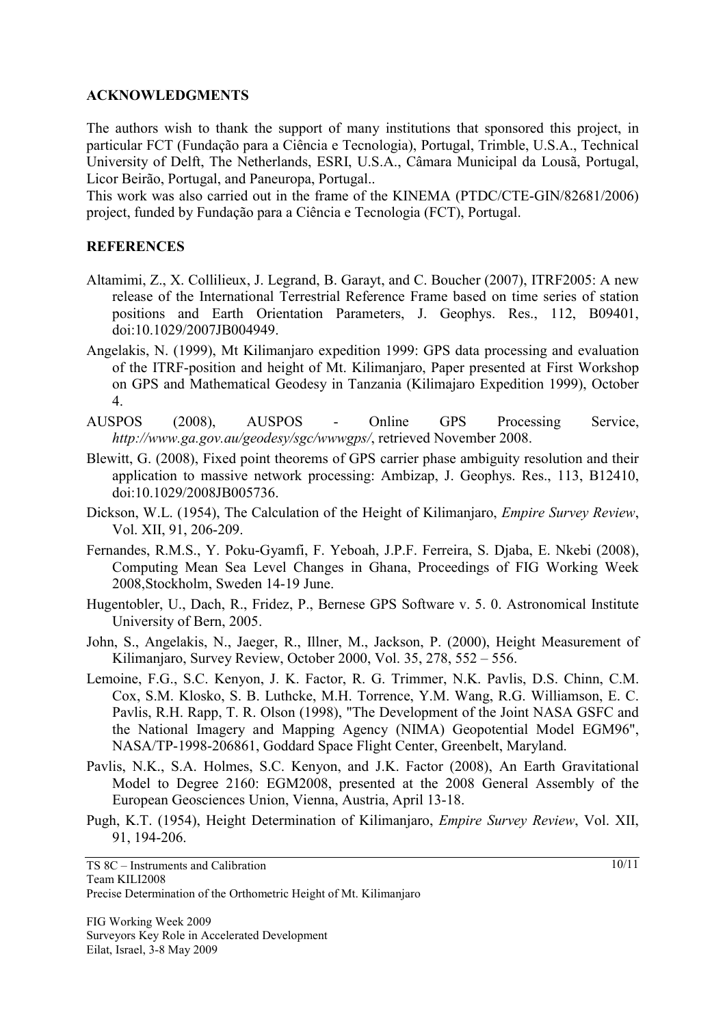#### **ACKNOWLEDGMENTS**

The authors wish to thank the support of many institutions that sponsored this project, in particular FCT (Fundação para a Ciência e Tecnologia), Portugal, Trimble, U.S.A., Technical University of Delft, The Netherlands, ESRI, U.S.A., Câmara Municipal da Lousã, Portugal, Licor Beirão, Portugal, and Paneuropa, Portugal..

This work was also carried out in the frame of the KINEMA (PTDC/CTE-GIN/82681/2006) project, funded by Fundação para a Ciência e Tecnologia (FCT), Portugal.

#### **REFERENCES**

- Altamimi, Z., X. Collilieux, J. Legrand, B. Garayt, and C. Boucher (2007), ITRF2005: A new release of the International Terrestrial Reference Frame based on time series of station positions and Earth Orientation Parameters, J. Geophys. Res., 112, B09401, doi:10.1029/2007JB004949.
- Angelakis, N. (1999), Mt Kilimanjaro expedition 1999: GPS data processing and evaluation of the ITRF-position and height of Mt. Kilimanjaro, Paper presented at First Workshop on GPS and Mathematical Geodesy in Tanzania (Kilimajaro Expedition 1999), October 4.
- AUSPOS (2008), AUSPOS Online GPS Processing Service, *http://www.ga.gov.au/geodesy/sgc/wwwgps/*, retrieved November 2008.
- Blewitt, G. (2008), Fixed point theorems of GPS carrier phase ambiguity resolution and their application to massive network processing: Ambizap, J. Geophys. Res., 113, B12410, doi:10.1029/2008JB005736.
- Dickson, W.L. (1954), The Calculation of the Height of Kilimanjaro, *Empire Survey Review*, Vol. XII, 91, 206-209.
- Fernandes, R.M.S., Y. Poku-Gyamfi, F. Yeboah, J.P.F. Ferreira, S. Djaba, E. Nkebi (2008), Computing Mean Sea Level Changes in Ghana, Proceedings of FIG Working Week 2008,Stockholm, Sweden 14-19 June.
- Hugentobler, U., Dach, R., Fridez, P., Bernese GPS Software v. 5. 0. Astronomical Institute University of Bern, 2005.
- John, S., Angelakis, N., Jaeger, R., Illner, M., Jackson, P. (2000), Height Measurement of Kilimanjaro, Survey Review, October 2000, Vol. 35, 278, 552 – 556.
- Lemoine, F.G., S.C. Kenyon, J. K. Factor, R. G. Trimmer, N.K. Pavlis, D.S. Chinn, C.M. Cox, S.M. Klosko, S. B. Luthcke, M.H. Torrence, Y.M. Wang, R.G. Williamson, E. C. Pavlis, R.H. Rapp, T. R. Olson (1998), "The Development of the Joint NASA GSFC and the National Imagery and Mapping Agency (NIMA) Geopotential Model EGM96", NASA/TP-1998-206861, Goddard Space Flight Center, Greenbelt, Maryland.
- Pavlis, N.K., S.A. Holmes, S.C. Kenyon, and J.K. Factor (2008), An Earth Gravitational Model to Degree 2160: EGM2008, presented at the 2008 General Assembly of the European Geosciences Union, Vienna, Austria, April 13-18.
- Pugh, K.T. (1954), Height Determination of Kilimanjaro, *Empire Survey Review*, Vol. XII, 91, 194-206.

TS 8C – Instruments and Calibration Team KILI2008 Precise Determination of the Orthometric Height of Mt. Kilimanjaro